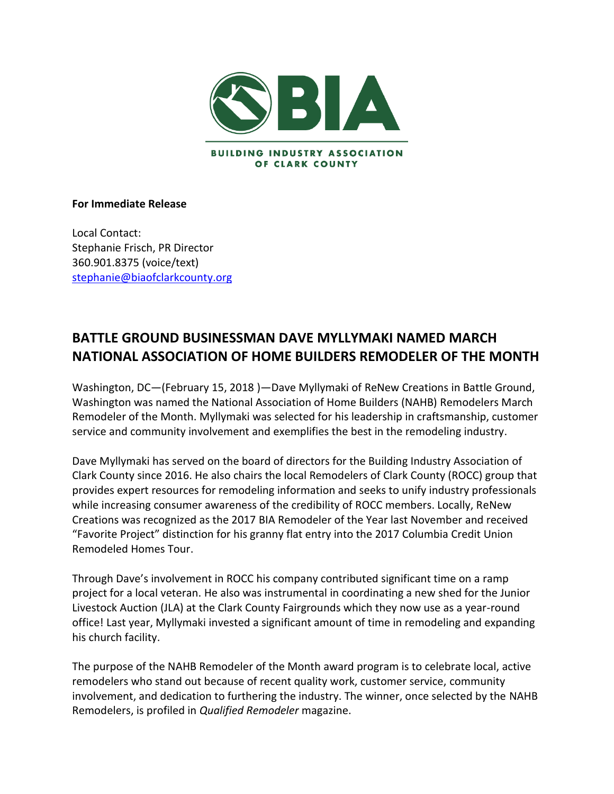

## **For Immediate Release**

Local Contact: Stephanie Frisch, PR Director 360.901.8375 (voice/text) [stephanie@biaofclarkcounty.org](mailto:stephanie@biaofclarkcounty.org)

## **BATTLE GROUND BUSINESSMAN DAVE MYLLYMAKI NAMED MARCH NATIONAL ASSOCIATION OF HOME BUILDERS REMODELER OF THE MONTH**

Washington, DC—(February 15, 2018 )—Dave Myllymaki of ReNew Creations in Battle Ground, Washington was named the National Association of Home Builders (NAHB) Remodelers March Remodeler of the Month. Myllymaki was selected for his leadership in craftsmanship, customer service and community involvement and exemplifies the best in the remodeling industry.

Dave Myllymaki has served on the board of directors for the Building Industry Association of Clark County since 2016. He also chairs the local Remodelers of Clark County (ROCC) group that provides expert resources for remodeling information and seeks to unify industry professionals while increasing consumer awareness of the credibility of ROCC members. Locally, ReNew Creations was recognized as the 2017 BIA Remodeler of the Year last November and received "Favorite Project" distinction for his granny flat entry into the 2017 Columbia Credit Union Remodeled Homes Tour.

Through Dave's involvement in ROCC his company contributed significant time on a ramp project for a local veteran. He also was instrumental in coordinating a new shed for the Junior Livestock Auction (JLA) at the Clark County Fairgrounds which they now use as a year-round office! Last year, Myllymaki invested a significant amount of time in remodeling and expanding his church facility.

The purpose of the NAHB Remodeler of the Month award program is to celebrate local, active remodelers who stand out because of recent quality work, customer service, community involvement, and dedication to furthering the industry. The winner, once selected by the NAHB Remodelers, is profiled in *Qualified Remodeler* magazine.